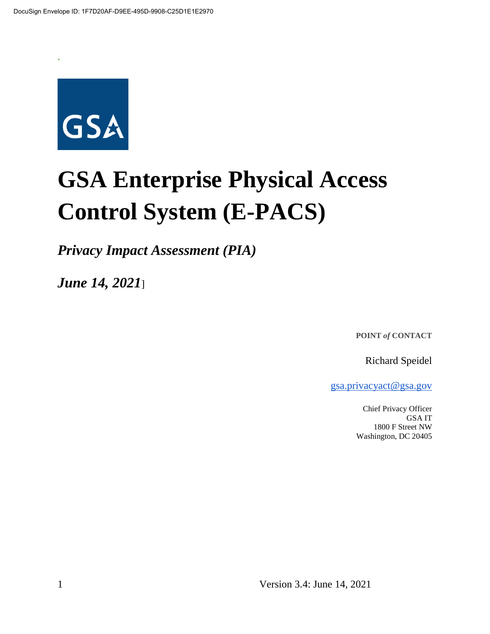

**\***

# **GSA Enterprise Physical Access Control System (E-PACS)**

*Privacy Impact Assessment (PIA)*

*June 14, 2021*]

**POINT** *of* **CONTACT**

Richard Speidel

gsa.privacyact@gsa.gov

Chief Privacy Officer GSA IT 1800 F Street NW Washington, DC 20405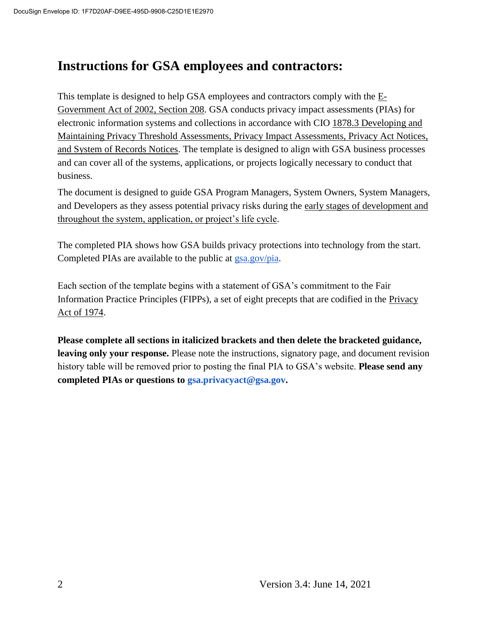# **Instructions for GSA employees and contractors:**

This template is designed to help GSA employees and contractors comply with the  $E$ -Government Act of 2002, Section 208. GSA conducts privacy impact assessments (PIAs) for electronic information systems and collections in accordance with CIO 1878.3 Developing and Maintaining Privacy Threshold Assessments, Privacy Impact Assessments, Privacy Act Notices, and System of Records Notices. The template is designed to align with GSA business processes and can cover all of the systems, applications, or projects logically necessary to conduct that business.

The document is designed to guide GSA Program Managers, System Owners, System Managers, and Developers as they assess potential privacy risks during the early stages of development and throughout the system, application, or project's life cycle.

The completed PIA shows how GSA builds privacy protections into technology from the start. Completed PIAs are available to the public at gsa.gov/pia.

Each section of the template begins with a statement of GSA's commitment to the Fair Information Practice Principles (FIPPs), a set of eight precepts that are codified in the Privacy Act of 1974.

**Please complete all sections in italicized brackets and then delete the bracketed guidance, leaving only your response.** Please note the instructions, signatory page, and document revision history table will be removed prior to posting the final PIA to GSA's website. **Please send any completed PIAs or questions to gsa.privacyact@gsa.gov.**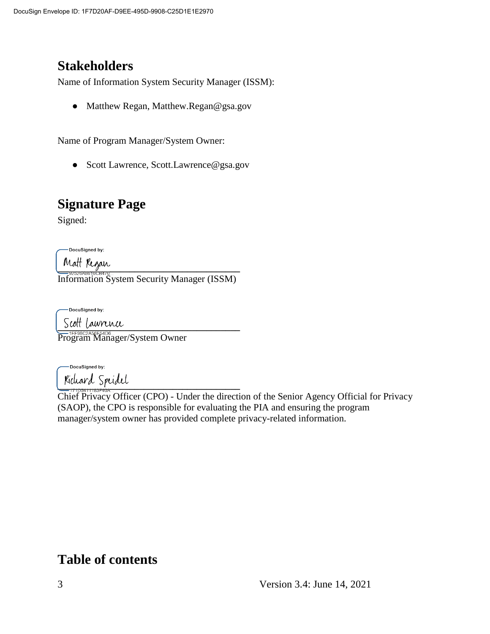# **Stakeholders**

Name of Information System Security Manager (ISSM):

• Matthew Regan, Matthew.Regan@gsa.gov

Name of Program Manager/System Owner:

● Scott Lawrence, Scott.Lawrence@gsa.gov

# **Signature Page**

Signed:

DocuSigned by:

**\_\_\_\_\_\_\_\_\_\_\_\_\_\_\_\_\_\_\_\_\_\_\_\_\_\_\_\_\_\_\_\_\_\_\_\_\_\_** Information System Security Manager (ISSM)

-DocuSigned by:

 $\frac{1}{2}$   $\frac{1}{2}$   $\frac{1}{2}$   $\frac{1}{2}$   $\frac{1}{2}$   $\frac{1}{2}$   $\frac{1}{2}$   $\frac{1}{2}$   $\frac{1}{2}$   $\frac{1}{2}$   $\frac{1}{2}$   $\frac{1}{2}$   $\frac{1}{2}$   $\frac{1}{2}$   $\frac{1}{2}$   $\frac{1}{2}$   $\frac{1}{2}$   $\frac{1}{2}$   $\frac{1}{2}$   $\frac{1}{2}$   $\frac{1}{2}$   $\frac{1}{2}$ 

Program Manager/System Owner

-DocuSigned by:  $\frac{1}{2}$ 

Chief Privacy Officer (CPO) - Under the direction of the Senior Agency Official for Privacy (SAOP), the CPO is responsible for evaluating the PIA and ensuring the program manager/system owner has provided complete privacy-related information.

# **Table of contents**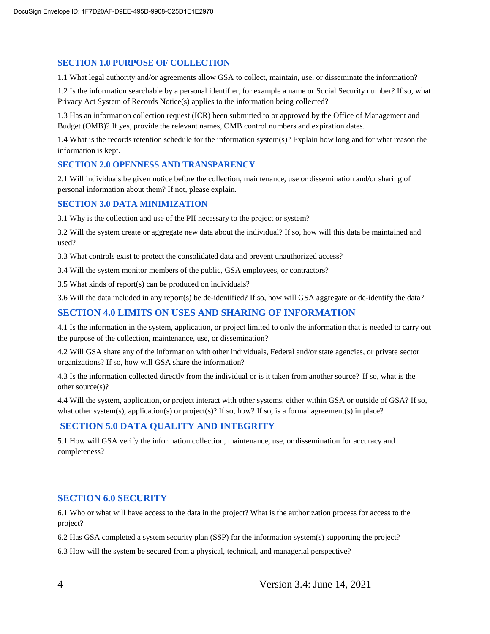#### **SECTION 1.0 PURPOSE OF COLLECTION**

1.1 What legal authority and/or agreements allow GSA to collect, maintain, use, or disseminate the information?

1.2 Is the information searchable by a personal identifier, for example a name or Social Security number? If so, what Privacy Act System of Records Notice(s) applies to the information being collected?

1.3 Has an information collection request (ICR) been submitted to or approved by the Office of Management and Budget (OMB)? If yes, provide the relevant names, OMB control numbers and expiration dates.

1.4 What is the records retention schedule for the information system(s)? Explain how long and for what reason the information is kept.

#### **SECTION 2.0 OPENNESS AND TRANSPARENCY**

2.1 Will individuals be given notice before the collection, maintenance, use or dissemination and/or sharing of personal information about them? If not, please explain.

#### **SECTION 3.0 DATA MINIMIZATION**

3.1 Why is the collection and use of the PII necessary to the project or system?

3.2 Will the system create or aggregate new data about the individual? If so, how will this data be maintained and used?

3.3 What controls exist to protect the consolidated data and prevent unauthorized access?

3.4 Will the system monitor members of the public, GSA employees, or contractors?

3.5 What kinds of report(s) can be produced on individuals?

3.6 Will the data included in any report(s) be de-identified? If so, how will GSA aggregate or de-identify the data?

#### **SECTION 4.0 LIMITS ON USES AND SHARING OF INFORMATION**

4.1 Is the information in the system, application, or project limited to only the information that is needed to carry out the purpose of the collection, maintenance, use, or dissemination?

4.2 Will GSA share any of the information with other individuals, Federal and/or state agencies, or private sector organizations? If so, how will GSA share the information?

4.3 Is the information collected directly from the individual or is it taken from another source? If so, what is the other source(s)?

4.4 Will the system, application, or project interact with other systems, either within GSA or outside of GSA? If so, what other system(s), application(s) or project(s)? If so, how? If so, is a formal agreement(s) in place?

#### **SECTION 5.0 DATA QUALITY AND INTEGRITY**

5.1 How will GSA verify the information collection, maintenance, use, or dissemination for accuracy and completeness?

#### **SECTION 6.0 SECURITY**

6.1 Who or what will have access to the data in the project? What is the authorization process for access to the project?

6.2 Has GSA completed a system security plan (SSP) for the information system(s) supporting the project?

6.3 How will the system be secured from a physical, technical, and managerial perspective?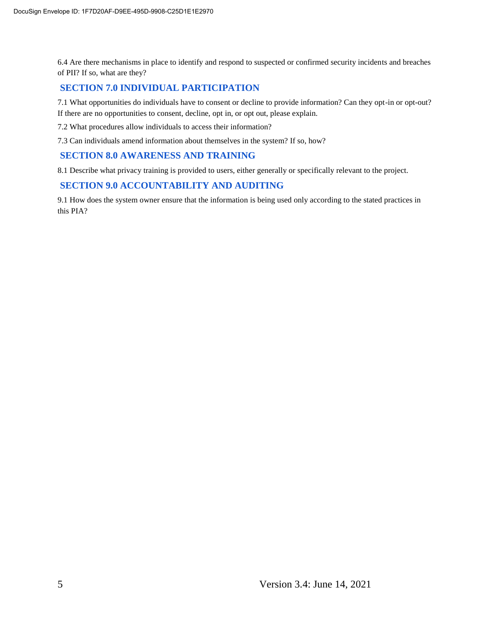6.4 Are there mechanisms in place to identify and respond to suspected or confirmed security incidents and breaches of PII? If so, what are they?

#### **SECTION 7.0 INDIVIDUAL PARTICIPATION**

7.1 What opportunities do individuals have to consent or decline to provide information? Can they opt-in or opt-out? If there are no opportunities to consent, decline, opt in, or opt out, please explain.

7.2 What procedures allow individuals to access their information?

7.3 Can individuals amend information about themselves in the system? If so, how?

#### **SECTION 8.0 AWARENESS AND TRAINING**

8.1 Describe what privacy training is provided to users, either generally or specifically relevant to the project.

#### **SECTION 9.0 ACCOUNTABILITY AND AUDITING**

9.1 How does the system owner ensure that the information is being used only according to the stated practices in this PIA?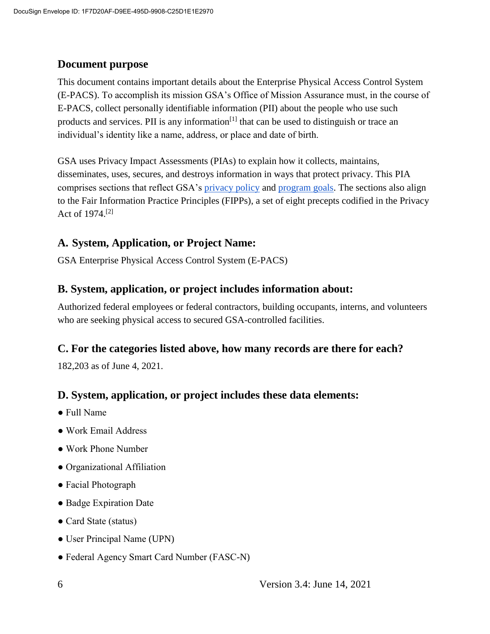#### **Document purpose**

This document contains important details about the Enterprise Physical Access Control System (E-PACS). To accomplish its mission GSA's Office of Mission Assurance must, in the course of E-PACS, collect personally identifiable information (PII) about the people who use such products and services. PII is any information<sup>[1]</sup> that can be used to distinguish or trace an individual's identity like a name, address, or place and date of birth.

GSA uses Privacy Impact Assessments (PIAs) to explain how it collects, maintains, disseminates, uses, secures, and destroys information in ways that protect privacy. This PIA comprises sections that reflect GSA's privacy policy and program goals. The sections also align to the Fair Information Practice Principles (FIPPs), a set of eight precepts codified in the Privacy Act of 1974.[2]

#### **A. System, Application, or Project Name:**

GSA Enterprise Physical Access Control System (E-PACS)

#### **B. System, application, or project includes information about:**

Authorized federal employees or federal contractors, building occupants, interns, and volunteers who are seeking physical access to secured GSA-controlled facilities.

#### **C. For the categories listed above, how many records are there for each?**

182,203 as of June 4, 2021.

#### **D. System, application, or project includes these data elements:**

- Full Name
- Work Email Address
- Work Phone Number
- Organizational Affiliation
- Facial Photograph
- Badge Expiration Date
- Card State (status)
- User Principal Name (UPN)
- Federal Agency Smart Card Number (FASC-N)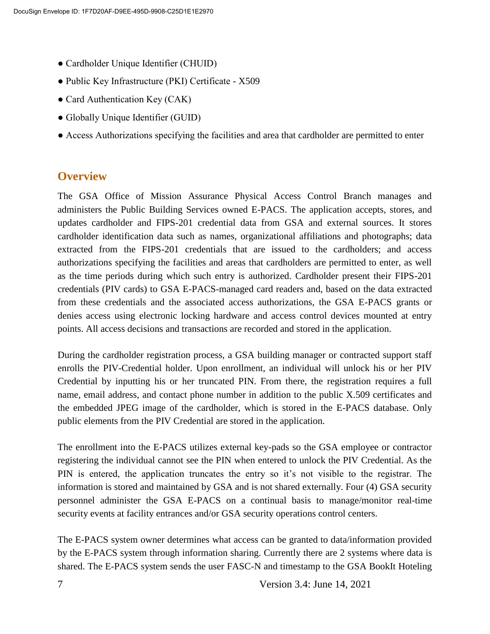- Cardholder Unique Identifier (CHUID)
- Public Key Infrastructure (PKI) Certificate X509
- Card Authentication Key (CAK)
- Globally Unique Identifier (GUID)
- Access Authorizations specifying the facilities and area that cardholder are permitted to enter

#### **Overview**

The GSA Office of Mission Assurance Physical Access Control Branch manages and administers the Public Building Services owned E-PACS. The application accepts, stores, and updates cardholder and FIPS-201 credential data from GSA and external sources. It stores cardholder identification data such as names, organizational affiliations and photographs; data extracted from the FIPS-201 credentials that are issued to the cardholders; and access authorizations specifying the facilities and areas that cardholders are permitted to enter, as well as the time periods during which such entry is authorized. Cardholder present their FIPS-201 credentials (PIV cards) to GSA E-PACS-managed card readers and, based on the data extracted from these credentials and the associated access authorizations, the GSA E-PACS grants or denies access using electronic locking hardware and access control devices mounted at entry points. All access decisions and transactions are recorded and stored in the application.

During the cardholder registration process, a GSA building manager or contracted support staff enrolls the PIV-Credential holder. Upon enrollment, an individual will unlock his or her PIV Credential by inputting his or her truncated PIN. From there, the registration requires a full name, email address, and contact phone number in addition to the public X.509 certificates and the embedded JPEG image of the cardholder, which is stored in the E-PACS database. Only public elements from the PIV Credential are stored in the application.

The enrollment into the E-PACS utilizes external key-pads so the GSA employee or contractor registering the individual cannot see the PIN when entered to unlock the PIV Credential. As the PIN is entered, the application truncates the entry so it's not visible to the registrar. The information is stored and maintained by GSA and is not shared externally. Four (4) GSA security personnel administer the GSA E-PACS on a continual basis to manage/monitor real-time security events at facility entrances and/or GSA security operations control centers.

The E-PACS system owner determines what access can be granted to data/information provided by the E-PACS system through information sharing. Currently there are 2 systems where data is shared. The E-PACS system sends the user FASC-N and timestamp to the GSA BookIt Hoteling

7 Version 3.4: June 14, 2021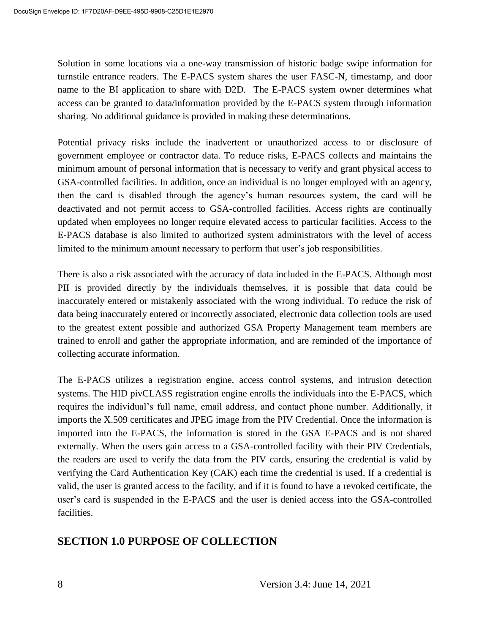Solution in some locations via a one-way transmission of historic badge swipe information for turnstile entrance readers. The E-PACS system shares the user FASC-N, timestamp, and door name to the BI application to share with D2D. The E-PACS system owner determines what access can be granted to data/information provided by the E-PACS system through information sharing. No additional guidance is provided in making these determinations.

Potential privacy risks include the inadvertent or unauthorized access to or disclosure of government employee or contractor data. To reduce risks, E-PACS collects and maintains the minimum amount of personal information that is necessary to verify and grant physical access to GSA-controlled facilities. In addition, once an individual is no longer employed with an agency, then the card is disabled through the agency's human resources system, the card will be deactivated and not permit access to GSA-controlled facilities. Access rights are continually updated when employees no longer require elevated access to particular facilities. Access to the E-PACS database is also limited to authorized system administrators with the level of access limited to the minimum amount necessary to perform that user's job responsibilities.

There is also a risk associated with the accuracy of data included in the E-PACS. Although most PII is provided directly by the individuals themselves, it is possible that data could be inaccurately entered or mistakenly associated with the wrong individual. To reduce the risk of data being inaccurately entered or incorrectly associated, electronic data collection tools are used to the greatest extent possible and authorized GSA Property Management team members are trained to enroll and gather the appropriate information, and are reminded of the importance of collecting accurate information.

The E-PACS utilizes a registration engine, access control systems, and intrusion detection systems. The HID pivCLASS registration engine enrolls the individuals into the E-PACS, which requires the individual's full name, email address, and contact phone number. Additionally, it imports the X.509 certificates and JPEG image from the PIV Credential. Once the information is imported into the E-PACS, the information is stored in the GSA E-PACS and is not shared externally. When the users gain access to a GSA-controlled facility with their PIV Credentials, the readers are used to verify the data from the PIV cards, ensuring the credential is valid by verifying the Card Authentication Key (CAK) each time the credential is used. If a credential is valid, the user is granted access to the facility, and if it is found to have a revoked certificate, the user's card is suspended in the E-PACS and the user is denied access into the GSA-controlled facilities.

#### **SECTION 1.0 PURPOSE OF COLLECTION**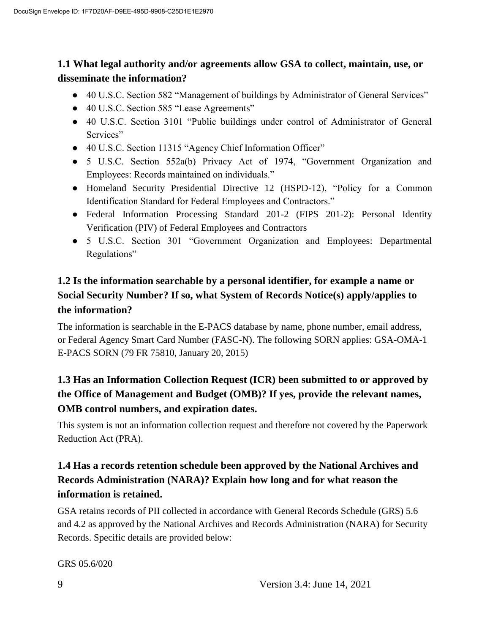#### **1.1 What legal authority and/or agreements allow GSA to collect, maintain, use, or disseminate the information?**

- 40 U.S.C. Section 582 "Management of buildings by Administrator of General Services"
- 40 U.S.C. Section 585 "Lease Agreements"
- 40 U.S.C. Section 3101 "Public buildings under control of Administrator of General Services"
- 40 U.S.C. Section 11315 "Agency Chief Information Officer"
- 5 U.S.C. Section 552a(b) Privacy Act of 1974, "Government Organization and Employees: Records maintained on individuals."
- Homeland Security Presidential Directive 12 (HSPD-12), "Policy for a Common Identification Standard for Federal Employees and Contractors."
- Federal Information Processing Standard 201-2 (FIPS 201-2): Personal Identity Verification (PIV) of Federal Employees and Contractors
- 5 U.S.C. Section 301 "Government Organization and Employees: Departmental Regulations"

## **1.2 Is the information searchable by a personal identifier, for example a name or Social Security Number? If so, what System of Records Notice(s) apply/applies to the information?**

The information is searchable in the E-PACS database by name, phone number, email address, or Federal Agency Smart Card Number (FASC-N). The following SORN applies: GSA-OMA-1 E-PACS SORN (79 FR 75810, January 20, 2015)

## **1.3 Has an Information Collection Request (ICR) been submitted to or approved by the Office of Management and Budget (OMB)? If yes, provide the relevant names, OMB control numbers, and expiration dates.**

This system is not an information collection request and therefore not covered by the Paperwork Reduction Act (PRA).

## **1.4 Has a records retention schedule been approved by the National Archives and Records Administration (NARA)? Explain how long and for what reason the information is retained.**

GSA retains records of PII collected in accordance with General Records Schedule (GRS) 5.6 and 4.2 as approved by the National Archives and Records Administration (NARA) for Security Records. Specific details are provided below:

GRS 05.6/020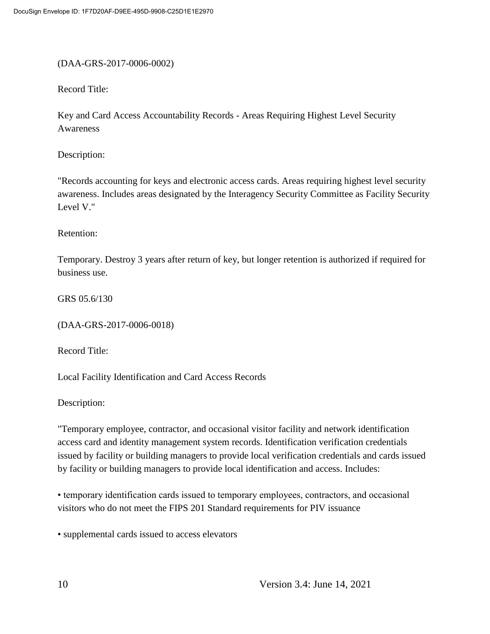#### (DAA-GRS-2017-0006-0002)

Record Title:

Key and Card Access Accountability Records - Areas Requiring Highest Level Security Awareness

Description:

"Records accounting for keys and electronic access cards. Areas requiring highest level security awareness. Includes areas designated by the Interagency Security Committee as Facility Security Level V."

Retention:

Temporary. Destroy 3 years after return of key, but longer retention is authorized if required for business use.

GRS 05.6/130

(DAA-GRS-2017-0006-0018)

Record Title:

Local Facility Identification and Card Access Records

Description:

"Temporary employee, contractor, and occasional visitor facility and network identification access card and identity management system records. Identification verification credentials issued by facility or building managers to provide local verification credentials and cards issued by facility or building managers to provide local identification and access. Includes:

• temporary identification cards issued to temporary employees, contractors, and occasional visitors who do not meet the FIPS 201 Standard requirements for PIV issuance

• supplemental cards issued to access elevators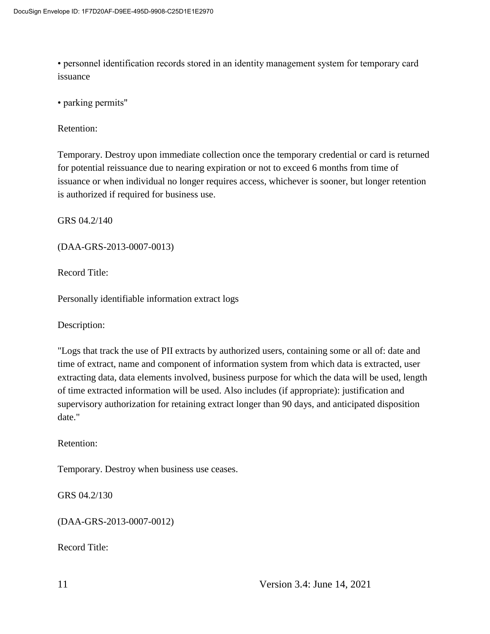• personnel identification records stored in an identity management system for temporary card issuance

• parking permits"

Retention:

Temporary. Destroy upon immediate collection once the temporary credential or card is returned for potential reissuance due to nearing expiration or not to exceed 6 months from time of issuance or when individual no longer requires access, whichever is sooner, but longer retention is authorized if required for business use.

GRS 04.2/140

(DAA-GRS-2013-0007-0013)

Record Title:

Personally identifiable information extract logs

Description:

"Logs that track the use of PII extracts by authorized users, containing some or all of: date and time of extract, name and component of information system from which data is extracted, user extracting data, data elements involved, business purpose for which the data will be used, length of time extracted information will be used. Also includes (if appropriate): justification and supervisory authorization for retaining extract longer than 90 days, and anticipated disposition date."

Retention:

Temporary. Destroy when business use ceases.

GRS 04.2/130

(DAA-GRS-2013-0007-0012)

Record Title: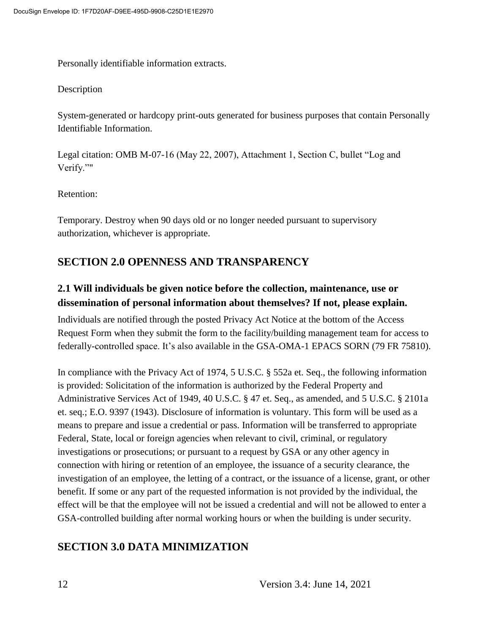Personally identifiable information extracts.

#### Description

System-generated or hardcopy print-outs generated for business purposes that contain Personally Identifiable Information.

Legal citation: OMB M-07-16 (May 22, 2007), Attachment 1, Section C, bullet "Log and Verify.""

Retention:

Temporary. Destroy when 90 days old or no longer needed pursuant to supervisory authorization, whichever is appropriate.

#### **SECTION 2.0 OPENNESS AND TRANSPARENCY**

#### **2.1 Will individuals be given notice before the collection, maintenance, use or dissemination of personal information about themselves? If not, please explain.**

Individuals are notified through the posted Privacy Act Notice at the bottom of the Access Request Form when they submit the form to the facility/building management team for access to federally-controlled space. It's also available in the GSA-OMA-1 EPACS SORN (79 FR 75810).

In compliance with the Privacy Act of 1974, 5 U.S.C. § 552a et. Seq., the following information is provided: Solicitation of the information is authorized by the Federal Property and Administrative Services Act of 1949, 40 U.S.C. § 47 et. Seq., as amended, and 5 U.S.C. § 2101a et. seq.; E.O. 9397 (1943). Disclosure of information is voluntary. This form will be used as a means to prepare and issue a credential or pass. Information will be transferred to appropriate Federal, State, local or foreign agencies when relevant to civil, criminal, or regulatory investigations or prosecutions; or pursuant to a request by GSA or any other agency in connection with hiring or retention of an employee, the issuance of a security clearance, the investigation of an employee, the letting of a contract, or the issuance of a license, grant, or other benefit. If some or any part of the requested information is not provided by the individual, the effect will be that the employee will not be issued a credential and will not be allowed to enter a GSA-controlled building after normal working hours or when the building is under security.

## **SECTION 3.0 DATA MINIMIZATION**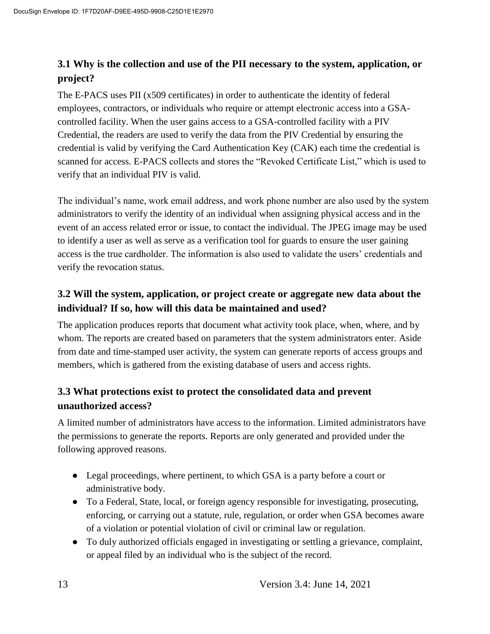#### **3.1 Why is the collection and use of the PII necessary to the system, application, or project?**

The E-PACS uses PII (x509 certificates) in order to authenticate the identity of federal employees, contractors, or individuals who require or attempt electronic access into a GSAcontrolled facility. When the user gains access to a GSA-controlled facility with a PIV Credential, the readers are used to verify the data from the PIV Credential by ensuring the credential is valid by verifying the Card Authentication Key (CAK) each time the credential is scanned for access. E-PACS collects and stores the "Revoked Certificate List," which is used to verify that an individual PIV is valid.

The individual's name, work email address, and work phone number are also used by the system administrators to verify the identity of an individual when assigning physical access and in the event of an access related error or issue, to contact the individual. The JPEG image may be used to identify a user as well as serve as a verification tool for guards to ensure the user gaining access is the true cardholder. The information is also used to validate the users' credentials and verify the revocation status.

## **3.2 Will the system, application, or project create or aggregate new data about the individual? If so, how will this data be maintained and used?**

The application produces reports that document what activity took place, when, where, and by whom. The reports are created based on parameters that the system administrators enter. Aside from date and time-stamped user activity, the system can generate reports of access groups and members, which is gathered from the existing database of users and access rights.

#### **3.3 What protections exist to protect the consolidated data and prevent unauthorized access?**

A limited number of administrators have access to the information. Limited administrators have the permissions to generate the reports. Reports are only generated and provided under the following approved reasons.

- Legal proceedings, where pertinent, to which GSA is a party before a court or administrative body.
- To a Federal, State, local, or foreign agency responsible for investigating, prosecuting, enforcing, or carrying out a statute, rule, regulation, or order when GSA becomes aware of a violation or potential violation of civil or criminal law or regulation.
- To duly authorized officials engaged in investigating or settling a grievance, complaint, or appeal filed by an individual who is the subject of the record.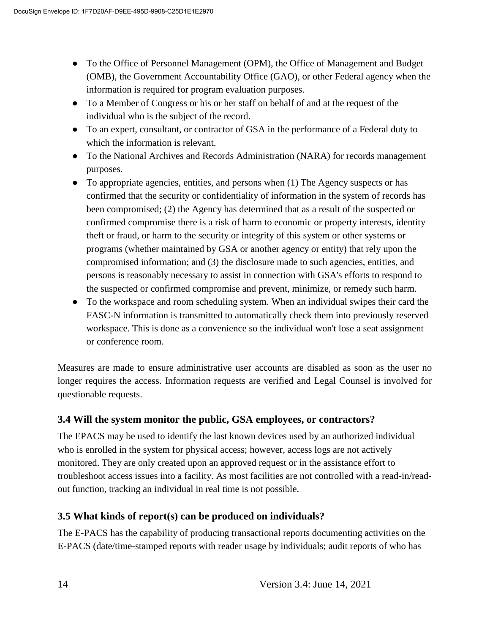- To the Office of Personnel Management (OPM), the Office of Management and Budget (OMB), the Government Accountability Office (GAO), or other Federal agency when the information is required for program evaluation purposes.
- To a Member of Congress or his or her staff on behalf of and at the request of the individual who is the subject of the record.
- To an expert, consultant, or contractor of GSA in the performance of a Federal duty to which the information is relevant.
- To the National Archives and Records Administration (NARA) for records management purposes.
- To appropriate agencies, entities, and persons when (1) The Agency suspects or has confirmed that the security or confidentiality of information in the system of records has been compromised; (2) the Agency has determined that as a result of the suspected or confirmed compromise there is a risk of harm to economic or property interests, identity theft or fraud, or harm to the security or integrity of this system or other systems or programs (whether maintained by GSA or another agency or entity) that rely upon the compromised information; and (3) the disclosure made to such agencies, entities, and persons is reasonably necessary to assist in connection with GSA's efforts to respond to the suspected or confirmed compromise and prevent, minimize, or remedy such harm.
- To the workspace and room scheduling system. When an individual swipes their card the FASC-N information is transmitted to automatically check them into previously reserved workspace. This is done as a convenience so the individual won't lose a seat assignment or conference room.

Measures are made to ensure administrative user accounts are disabled as soon as the user no longer requires the access. Information requests are verified and Legal Counsel is involved for questionable requests.

#### **3.4 Will the system monitor the public, GSA employees, or contractors?**

The EPACS may be used to identify the last known devices used by an authorized individual who is enrolled in the system for physical access; however, access logs are not actively monitored. They are only created upon an approved request or in the assistance effort to troubleshoot access issues into a facility. As most facilities are not controlled with a read-in/readout function, tracking an individual in real time is not possible.

#### **3.5 What kinds of report(s) can be produced on individuals?**

The E-PACS has the capability of producing transactional reports documenting activities on the E-PACS (date/time-stamped reports with reader usage by individuals; audit reports of who has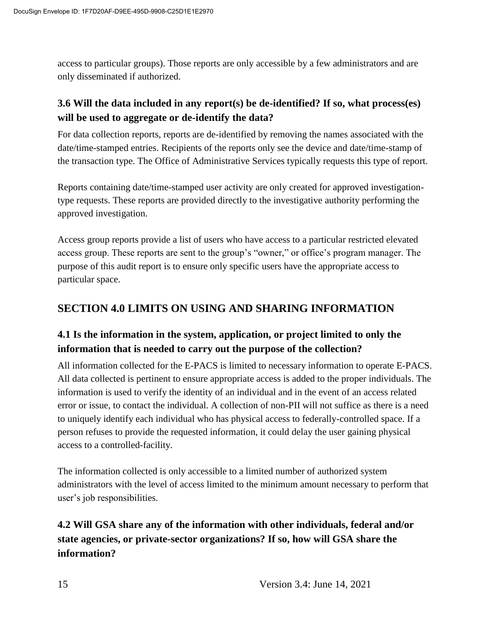access to particular groups). Those reports are only accessible by a few administrators and are only disseminated if authorized.

#### **3.6 Will the data included in any report(s) be de-identified? If so, what process(es) will be used to aggregate or de-identify the data?**

For data collection reports, reports are de-identified by removing the names associated with the date/time-stamped entries. Recipients of the reports only see the device and date/time-stamp of the transaction type. The Office of Administrative Services typically requests this type of report.

Reports containing date/time-stamped user activity are only created for approved investigationtype requests. These reports are provided directly to the investigative authority performing the approved investigation.

Access group reports provide a list of users who have access to a particular restricted elevated access group. These reports are sent to the group's "owner," or office's program manager. The purpose of this audit report is to ensure only specific users have the appropriate access to particular space.

## **SECTION 4.0 LIMITS ON USING AND SHARING INFORMATION**

## **4.1 Is the information in the system, application, or project limited to only the information that is needed to carry out the purpose of the collection?**

All information collected for the E-PACS is limited to necessary information to operate E-PACS. All data collected is pertinent to ensure appropriate access is added to the proper individuals. The information is used to verify the identity of an individual and in the event of an access related error or issue, to contact the individual. A collection of non-PII will not suffice as there is a need to uniquely identify each individual who has physical access to federally-controlled space. If a person refuses to provide the requested information, it could delay the user gaining physical access to a controlled-facility.

The information collected is only accessible to a limited number of authorized system administrators with the level of access limited to the minimum amount necessary to perform that user's job responsibilities.

## **4.2 Will GSA share any of the information with other individuals, federal and/or state agencies, or private-sector organizations? If so, how will GSA share the information?**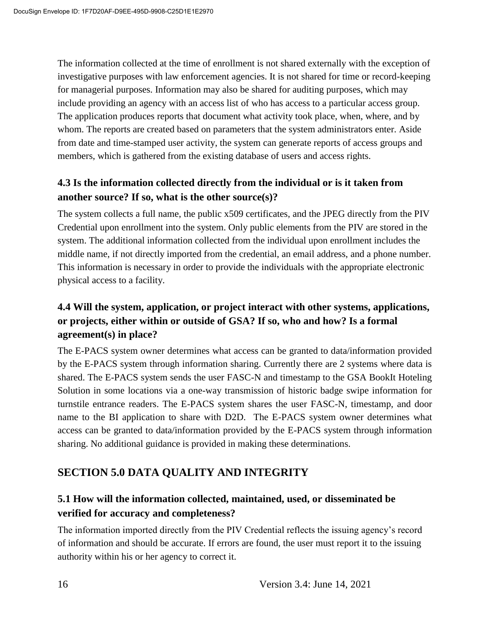The information collected at the time of enrollment is not shared externally with the exception of investigative purposes with law enforcement agencies. It is not shared for time or record-keeping for managerial purposes. Information may also be shared for auditing purposes, which may include providing an agency with an access list of who has access to a particular access group. The application produces reports that document what activity took place, when, where, and by whom. The reports are created based on parameters that the system administrators enter. Aside from date and time-stamped user activity, the system can generate reports of access groups and members, which is gathered from the existing database of users and access rights.

#### **4.3 Is the information collected directly from the individual or is it taken from another source? If so, what is the other source(s)?**

The system collects a full name, the public x509 certificates, and the JPEG directly from the PIV Credential upon enrollment into the system. Only public elements from the PIV are stored in the system. The additional information collected from the individual upon enrollment includes the middle name, if not directly imported from the credential, an email address, and a phone number. This information is necessary in order to provide the individuals with the appropriate electronic physical access to a facility.

#### **4.4 Will the system, application, or project interact with other systems, applications, or projects, either within or outside of GSA? If so, who and how? Is a formal agreement(s) in place?**

The E-PACS system owner determines what access can be granted to data/information provided by the E-PACS system through information sharing. Currently there are 2 systems where data is shared. The E-PACS system sends the user FASC-N and timestamp to the GSA BookIt Hoteling Solution in some locations via a one-way transmission of historic badge swipe information for turnstile entrance readers. The E-PACS system shares the user FASC-N, timestamp, and door name to the BI application to share with D2D. The E-PACS system owner determines what access can be granted to data/information provided by the E-PACS system through information sharing. No additional guidance is provided in making these determinations.

## **SECTION 5.0 DATA QUALITY AND INTEGRITY**

#### **5.1 How will the information collected, maintained, used, or disseminated be verified for accuracy and completeness?**

The information imported directly from the PIV Credential reflects the issuing agency's record of information and should be accurate. If errors are found, the user must report it to the issuing authority within his or her agency to correct it.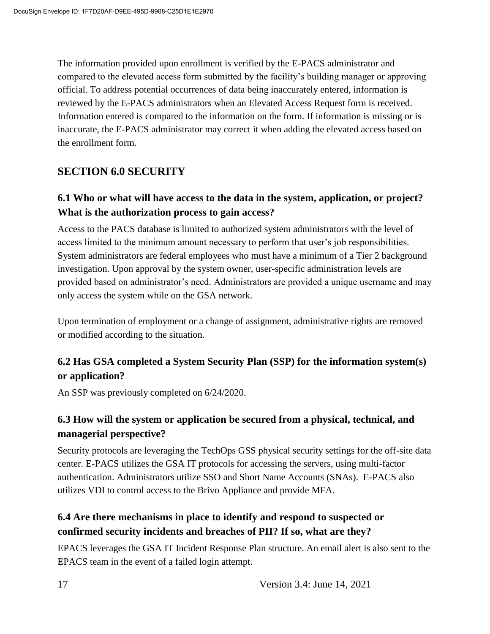The information provided upon enrollment is verified by the E-PACS administrator and compared to the elevated access form submitted by the facility's building manager or approving official. To address potential occurrences of data being inaccurately entered, information is reviewed by the E-PACS administrators when an Elevated Access Request form is received. Information entered is compared to the information on the form. If information is missing or is inaccurate, the E-PACS administrator may correct it when adding the elevated access based on the enrollment form.

#### **SECTION 6.0 SECURITY**

#### **6.1 Who or what will have access to the data in the system, application, or project? What is the authorization process to gain access?**

Access to the PACS database is limited to authorized system administrators with the level of access limited to the minimum amount necessary to perform that user's job responsibilities. System administrators are federal employees who must have a minimum of a Tier 2 background investigation. Upon approval by the system owner, user-specific administration levels are provided based on administrator's need. Administrators are provided a unique username and may only access the system while on the GSA network.

Upon termination of employment or a change of assignment, administrative rights are removed or modified according to the situation.

#### **6.2 Has GSA completed a System Security Plan (SSP) for the information system(s) or application?**

An SSP was previously completed on 6/24/2020.

#### **6.3 How will the system or application be secured from a physical, technical, and managerial perspective?**

Security protocols are leveraging the TechOps GSS physical security settings for the off-site data center. E-PACS utilizes the GSA IT protocols for accessing the servers, using multi-factor authentication. Administrators utilize SSO and Short Name Accounts (SNAs). E-PACS also utilizes VDI to control access to the Brivo Appliance and provide MFA.

#### **6.4 Are there mechanisms in place to identify and respond to suspected or confirmed security incidents and breaches of PII? If so, what are they?**

EPACS leverages the GSA IT Incident Response Plan structure. An email alert is also sent to the EPACS team in the event of a failed login attempt.

17 Version 3.4: June 14, 2021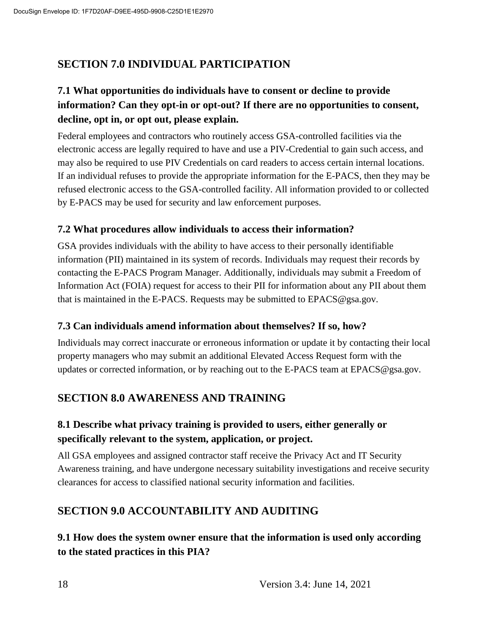## **SECTION 7.0 INDIVIDUAL PARTICIPATION**

## **7.1 What opportunities do individuals have to consent or decline to provide information? Can they opt-in or opt-out? If there are no opportunities to consent, decline, opt in, or opt out, please explain.**

Federal employees and contractors who routinely access GSA-controlled facilities via the electronic access are legally required to have and use a PIV-Credential to gain such access, and may also be required to use PIV Credentials on card readers to access certain internal locations. If an individual refuses to provide the appropriate information for the E-PACS, then they may be refused electronic access to the GSA-controlled facility. All information provided to or collected by E-PACS may be used for security and law enforcement purposes.

#### **7.2 What procedures allow individuals to access their information?**

GSA provides individuals with the ability to have access to their personally identifiable information (PII) maintained in its system of records. Individuals may request their records by contacting the E-PACS Program Manager. Additionally, individuals may submit a Freedom of Information Act (FOIA) request for access to their PII for information about any PII about them that is maintained in the E-PACS. Requests may be submitted to EPACS@gsa.gov.

#### **7.3 Can individuals amend information about themselves? If so, how?**

Individuals may correct inaccurate or erroneous information or update it by contacting their local property managers who may submit an additional Elevated Access Request form with the updates or corrected information, or by reaching out to the E-PACS team at EPACS@gsa.gov.

#### **SECTION 8.0 AWARENESS AND TRAINING**

#### **8.1 Describe what privacy training is provided to users, either generally or specifically relevant to the system, application, or project.**

All GSA employees and assigned contractor staff receive the Privacy Act and IT Security Awareness training, and have undergone necessary suitability investigations and receive security clearances for access to classified national security information and facilities.

#### **SECTION 9.0 ACCOUNTABILITY AND AUDITING**

#### **9.1 How does the system owner ensure that the information is used only according to the stated practices in this PIA?**